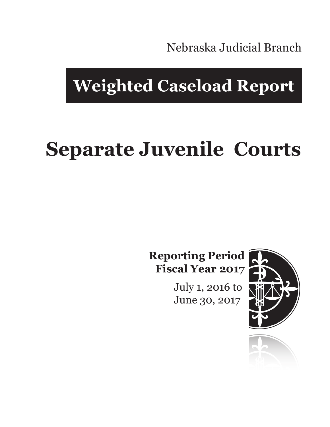Nebraska Judicial Branch

## **Weighted Caseload Report**

# **Separate Juvenile Courts**

**Reporting Period Fiscal Year 2017**

> July 1, 2016 to June 30, 2017



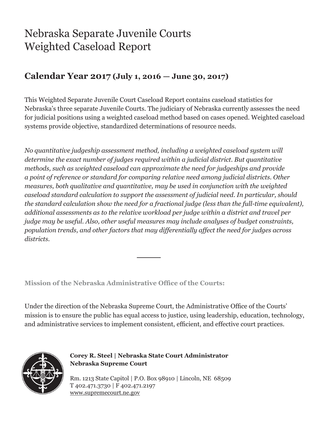### Nebraska Separate Juvenile Courts Weighted Caseload Report

#### **Calendar Year 2017 (July 1, 2016 — June 30, 2017)**

This Weighted Separate Juvenile Court Caseload Report contains caseload statistics for Nebraska's three separate Juvenile Courts. The judiciary of Nebraska currently assesses the need for judicial positions using a weighted caseload method based on cases opened. Weighted caseload systems provide objective, standardized determinations of resource needs.

*No quantitative judgeship assessment method, including a weighted caseload system will determine the exact number of judges required within a judicial district. But quantitative methods, such as weighted caseload can approximate the need for judgeships and provide a point of reference or standard for comparing relative need among judicial districts. Other measures, both qualitative and quantitative, may be used in conjunction with the weighted caseload standard calculation to support the assessment of judicial need. In particular, should the standard calculation show the need for a fractional judge (less than the full-time equivalent), additional assessments as to the relative workload per judge within a district and travel per judge may be useful. Also, other useful measures may include analyses of budget constraints, population trends, and other factors that may differentially affect the need for judges across districts.*

**Mission of the Nebraska Administrative Office of the Courts:**

Under the direction of the Nebraska Supreme Court, the Administrative Office of the Courts' mission is to ensure the public has equal access to justice, using leadership, education, technology, and administrative services to implement consistent, efficient, and effective court practices.



**Corey R. Steel | Nebraska State Court Administrator Nebraska Supreme Court**

Rm. 1213 State Capitol | P.O. Box 98910 | Lincoln, NE 68509 T 402.471.3730 | F 402.471.2197 www.supremecourt.ne.gov